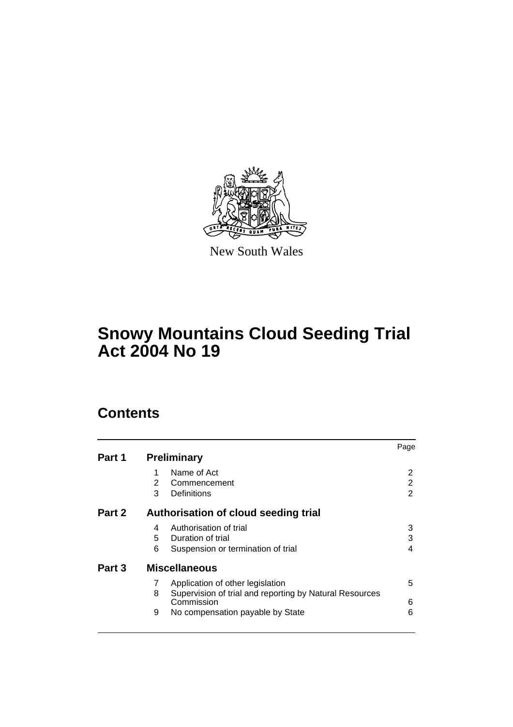

New South Wales

# **Snowy Mountains Cloud Seeding Trial Act 2004 No 19**

# **Contents**

|        |                                      |                                                                       | Page |  |
|--------|--------------------------------------|-----------------------------------------------------------------------|------|--|
| Part 1 | <b>Preliminary</b>                   |                                                                       |      |  |
|        |                                      | Name of Act                                                           | 2    |  |
|        | 2                                    | Commencement                                                          | 2    |  |
|        | 3                                    | Definitions                                                           | 2    |  |
| Part 2 | Authorisation of cloud seeding trial |                                                                       |      |  |
|        | 4                                    | Authorisation of trial                                                | 3    |  |
|        | 5.                                   | Duration of trial                                                     | 3    |  |
|        | 6                                    | Suspension or termination of trial                                    | 4    |  |
| Part 3 | <b>Miscellaneous</b>                 |                                                                       |      |  |
|        | 7                                    | Application of other legislation                                      | 5    |  |
|        | 8                                    | Supervision of trial and reporting by Natural Resources<br>Commission | 6    |  |
|        | 9                                    | No compensation payable by State                                      | 6    |  |
|        |                                      |                                                                       |      |  |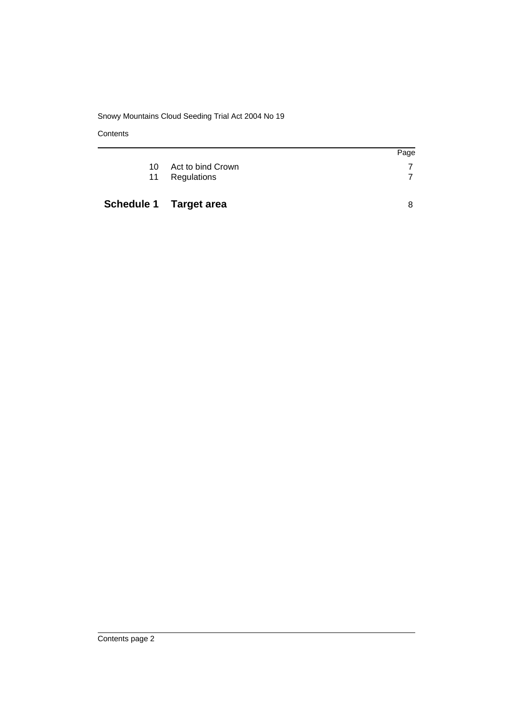## Snowy Mountains Cloud Seeding Trial Act 2004 No 19

**Contents** 

|    |                               | Page |
|----|-------------------------------|------|
| 10 | Act to bind Crown             |      |
| 11 | Regulations                   |      |
|    |                               |      |
|    | <b>Schedule 1 Target area</b> |      |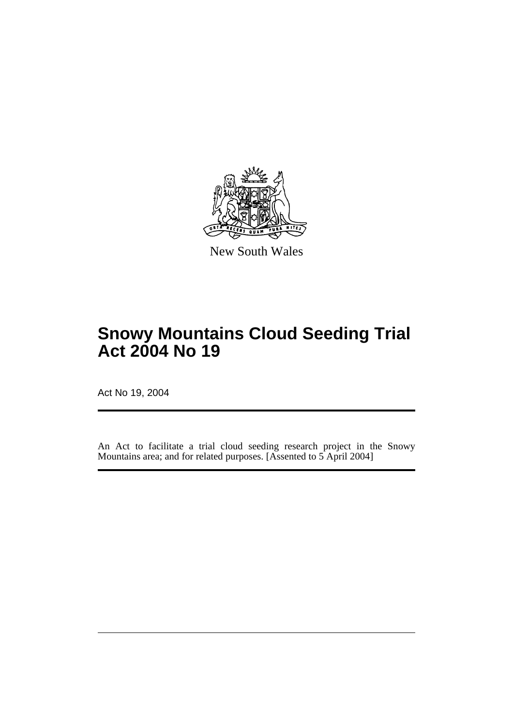

New South Wales

# **Snowy Mountains Cloud Seeding Trial Act 2004 No 19**

Act No 19, 2004

An Act to facilitate a trial cloud seeding research project in the Snowy Mountains area; and for related purposes. [Assented to 5 April 2004]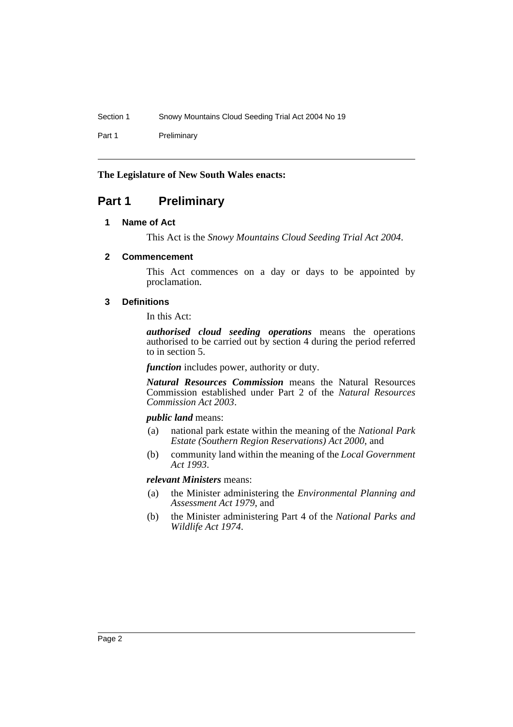Section 1 Snowy Mountains Cloud Seeding Trial Act 2004 No 19

Part 1 Preliminary

### **The Legislature of New South Wales enacts:**

# **Part 1 Preliminary**

## **1 Name of Act**

This Act is the *Snowy Mountains Cloud Seeding Trial Act 2004*.

### **2 Commencement**

This Act commences on a day or days to be appointed by proclamation.

### **3 Definitions**

In this Act:

*authorised cloud seeding operations* means the operations authorised to be carried out by section 4 during the period referred to in section 5.

*function* includes power, authority or duty.

*Natural Resources Commission* means the Natural Resources Commission established under Part 2 of the *Natural Resources Commission Act 2003*.

#### *public land* means:

- (a) national park estate within the meaning of the *National Park Estate (Southern Region Reservations) Act 2000*, and
- (b) community land within the meaning of the *Local Government Act 1993*.

### *relevant Ministers* means:

- (a) the Minister administering the *Environmental Planning and Assessment Act 1979*, and
- (b) the Minister administering Part 4 of the *National Parks and Wildlife Act 1974*.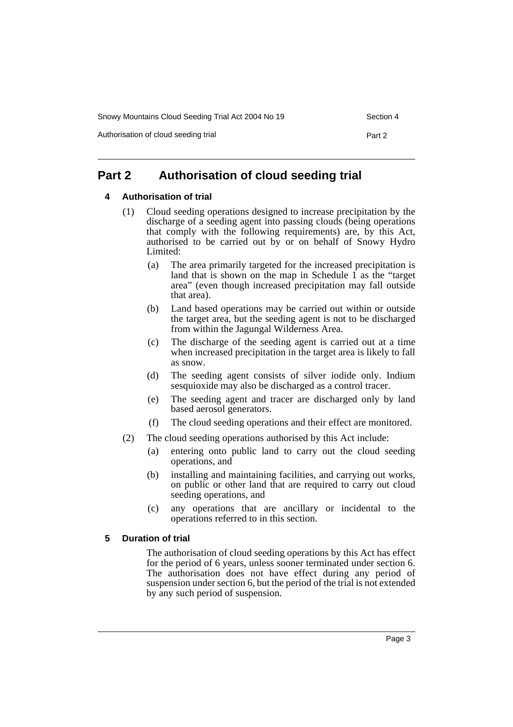Snowy Mountains Cloud Seeding Trial Act 2004 No 19 Section 4

Authorisation of cloud seeding trial **Part 2** Part 2

# **Part 2 Authorisation of cloud seeding trial**

#### **4 Authorisation of trial**

- (1) Cloud seeding operations designed to increase precipitation by the discharge of a seeding agent into passing clouds (being operations that comply with the following requirements) are, by this Act, authorised to be carried out by or on behalf of Snowy Hydro Limited:
	- (a) The area primarily targeted for the increased precipitation is land that is shown on the map in Schedule  $\hat{1}$  as the "target" area" (even though increased precipitation may fall outside that area).
	- (b) Land based operations may be carried out within or outside the target area, but the seeding agent is not to be discharged from within the Jagungal Wilderness Area.
	- (c) The discharge of the seeding agent is carried out at a time when increased precipitation in the target area is likely to fall as snow.
	- (d) The seeding agent consists of silver iodide only. Indium sesquioxide may also be discharged as a control tracer.
	- (e) The seeding agent and tracer are discharged only by land based aerosol generators.
	- (f) The cloud seeding operations and their effect are monitored.
- (2) The cloud seeding operations authorised by this Act include:
	- (a) entering onto public land to carry out the cloud seeding operations, and
	- (b) installing and maintaining facilities, and carrying out works, on public or other land that are required to carry out cloud seeding operations, and
	- (c) any operations that are ancillary or incidental to the operations referred to in this section.

#### **5 Duration of trial**

The authorisation of cloud seeding operations by this Act has effect for the period of 6 years, unless sooner terminated under section 6. The authorisation does not have effect during any period of suspension under section 6, but the period of the trial is not extended by any such period of suspension.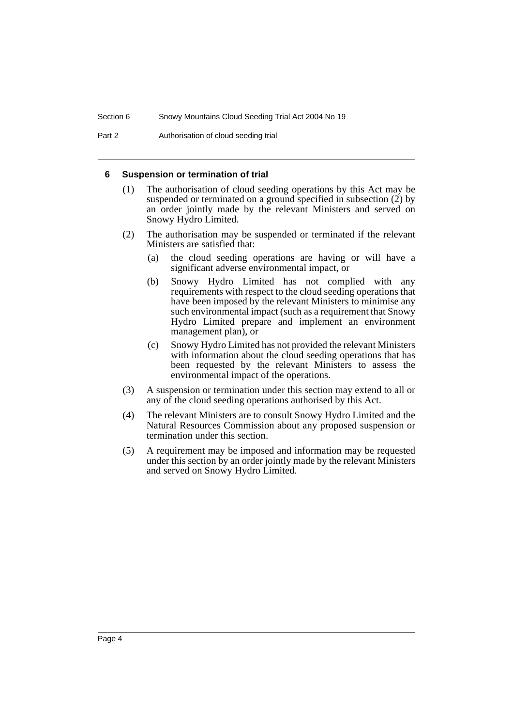Part 2 **Authorisation of cloud seeding trial** 

#### **6 Suspension or termination of trial**

- (1) The authorisation of cloud seeding operations by this Act may be suspended or terminated on a ground specified in subsection (2) by an order jointly made by the relevant Ministers and served on Snowy Hydro Limited.
- (2) The authorisation may be suspended or terminated if the relevant Ministers are satisfied that:
	- (a) the cloud seeding operations are having or will have a significant adverse environmental impact, or
	- (b) Snowy Hydro Limited has not complied with any requirements with respect to the cloud seeding operations that have been imposed by the relevant Ministers to minimise any such environmental impact (such as a requirement that Snowy Hydro Limited prepare and implement an environment management plan), or
	- (c) Snowy Hydro Limited has not provided the relevant Ministers with information about the cloud seeding operations that has been requested by the relevant Ministers to assess the environmental impact of the operations.
- (3) A suspension or termination under this section may extend to all or any of the cloud seeding operations authorised by this Act.
- (4) The relevant Ministers are to consult Snowy Hydro Limited and the Natural Resources Commission about any proposed suspension or termination under this section.
- (5) A requirement may be imposed and information may be requested under this section by an order jointly made by the relevant Ministers and served on Snowy Hydro Limited.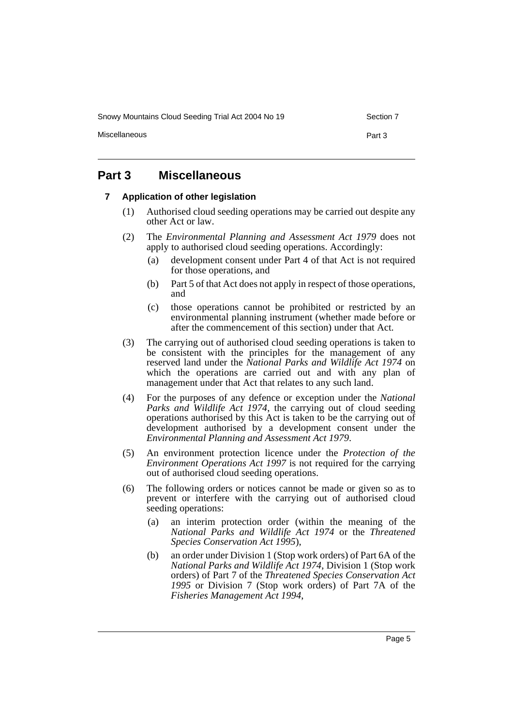Snowy Mountains Cloud Seeding Trial Act 2004 No 19 Section 7

Miscellaneous **Part 3** 

## **Part 3 Miscellaneous**

#### **7 Application of other legislation**

- (1) Authorised cloud seeding operations may be carried out despite any other Act or law.
- (2) The *Environmental Planning and Assessment Act 1979* does not apply to authorised cloud seeding operations. Accordingly:
	- (a) development consent under Part 4 of that Act is not required for those operations, and
	- (b) Part 5 of that Act does not apply in respect of those operations, and
	- (c) those operations cannot be prohibited or restricted by an environmental planning instrument (whether made before or after the commencement of this section) under that Act.
- (3) The carrying out of authorised cloud seeding operations is taken to be consistent with the principles for the management of any reserved land under the *National Parks and Wildlife Act 1974* on which the operations are carried out and with any plan of management under that Act that relates to any such land.
- (4) For the purposes of any defence or exception under the *National Parks and Wildlife Act 1974*, the carrying out of cloud seeding operations authorised by this Act is taken to be the carrying out of development authorised by a development consent under the *Environmental Planning and Assessment Act 1979*.
- (5) An environment protection licence under the *Protection of the Environment Operations Act 1997* is not required for the carrying out of authorised cloud seeding operations.
- (6) The following orders or notices cannot be made or given so as to prevent or interfere with the carrying out of authorised cloud seeding operations:
	- (a) an interim protection order (within the meaning of the *National Parks and Wildlife Act 1974* or the *Threatened Species Conservation Act 1995*),
	- (b) an order under Division 1 (Stop work orders) of Part 6A of the *National Parks and Wildlife Act 1974*, Division 1 (Stop work orders) of Part 7 of the *Threatened Species Conservation Act 1995* or Division 7 (Stop work orders) of Part 7A of the *Fisheries Management Act 1994*,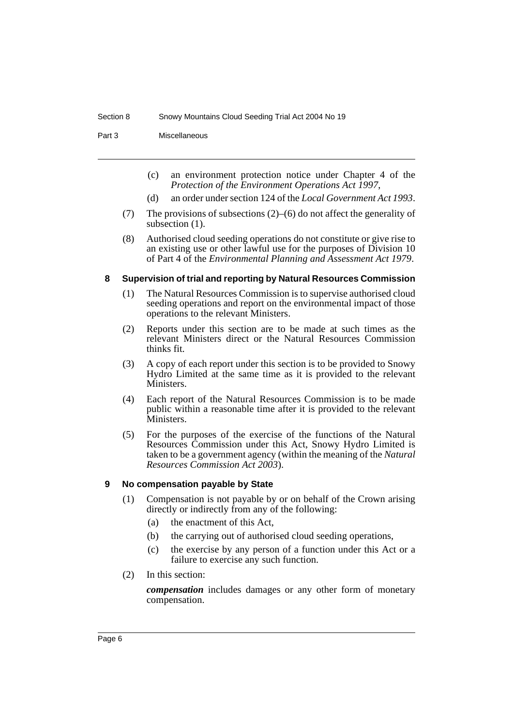Part 3 Miscellaneous

- (c) an environment protection notice under Chapter 4 of the *Protection of the Environment Operations Act 1997*,
- (d) an order under section 124 of the *Local Government Act 1993*.
- (7) The provisions of subsections (2)–(6) do not affect the generality of subsection (1).
- (8) Authorised cloud seeding operations do not constitute or give rise to an existing use or other lawful use for the purposes of Division 10 of Part 4 of the *Environmental Planning and Assessment Act 1979*.

#### **8 Supervision of trial and reporting by Natural Resources Commission**

- (1) The Natural Resources Commission is to supervise authorised cloud seeding operations and report on the environmental impact of those operations to the relevant Ministers.
- (2) Reports under this section are to be made at such times as the relevant Ministers direct or the Natural Resources Commission thinks fit.
- (3) A copy of each report under this section is to be provided to Snowy Hydro Limited at the same time as it is provided to the relevant Ministers.
- (4) Each report of the Natural Resources Commission is to be made public within a reasonable time after it is provided to the relevant Ministers.
- (5) For the purposes of the exercise of the functions of the Natural Resources Commission under this Act, Snowy Hydro Limited is taken to be a government agency (within the meaning of the *Natural Resources Commission Act 2003*).

#### **9 No compensation payable by State**

- (1) Compensation is not payable by or on behalf of the Crown arising directly or indirectly from any of the following:
	- (a) the enactment of this Act,
	- (b) the carrying out of authorised cloud seeding operations,
	- (c) the exercise by any person of a function under this Act or a failure to exercise any such function.
- (2) In this section:

*compensation* includes damages or any other form of monetary compensation.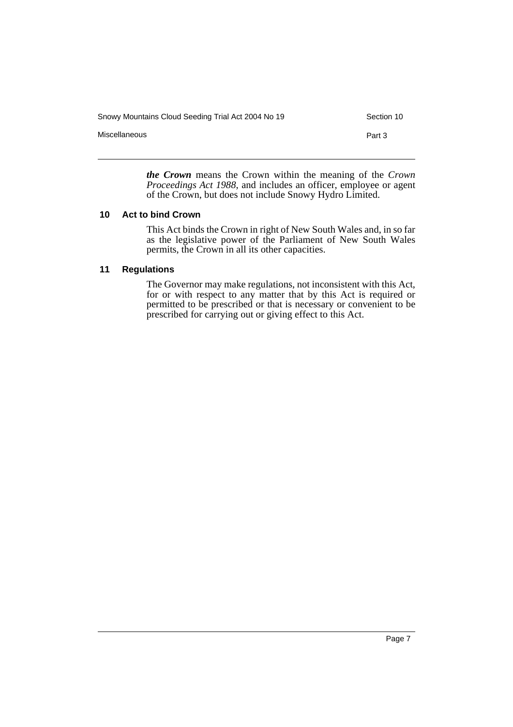| Snowy Mountains Cloud Seeding Trial Act 2004 No 19 | Section 10 |
|----------------------------------------------------|------------|
| Miscellaneous                                      | Part 3     |
|                                                    |            |

*the Crown* means the Crown within the meaning of the *Crown Proceedings Act 1988*, and includes an officer, employee or agent of the Crown, but does not include Snowy Hydro Limited.

#### **10 Act to bind Crown**

This Act binds the Crown in right of New South Wales and, in so far as the legislative power of the Parliament of New South Wales permits, the Crown in all its other capacities.

#### **11 Regulations**

The Governor may make regulations, not inconsistent with this Act, for or with respect to any matter that by this Act is required or permitted to be prescribed or that is necessary or convenient to be prescribed for carrying out or giving effect to this Act.